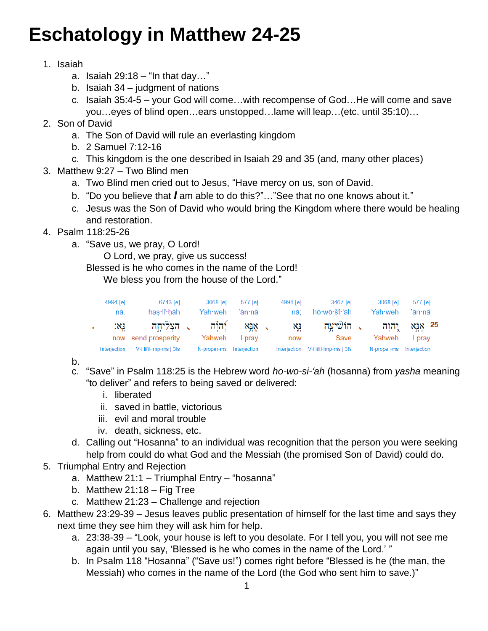## **Eschatology in Matthew 24-25**

## 1. Isaiah

- a. Isaiah  $29:18 1$ n that day..."
- b. Isaiah 34 judgment of nations
- c. Isaiah 35:4-5 your God will come…with recompense of God…He will come and save you…eyes of blind open…ears unstopped…lame will leap…(etc. until 35:10)…
- 2. Son of David
	- a. The Son of David will rule an everlasting kingdom
	- b. 2 Samuel 7:12-16
	- c. This kingdom is the one described in Isaiah 29 and 35 (and, many other places)
- 3. Matthew 9:27 Two Blind men
	- a. Two Blind men cried out to Jesus, "Have mercy on us, son of David.
	- b. "Do you believe that *I* am able to do this?"…"See that no one knows about it."
	- c. Jesus was the Son of David who would bring the Kingdom where there would be healing and restoration.
- 4. Psalm 118:25-26
	- a. "Save us, we pray, O Lord!

O Lord, we pray, give us success!

Blessed is he who comes in the name of the Lord!

We bless you from the house of the Lord."

| 4994 [e]<br>nā. | 6743 [e]<br>has lî hāh            | 3068 [e]<br>Yah·weh∶      | 577 [e]<br>'ān∙nā | 4994 [e]<br>nā: | 3467 [e]<br>hō·wō·šî·'āh | 3068 [e]<br>Yah weh | 577 [e]<br>'ān·nā     |
|-----------------|-----------------------------------|---------------------------|-------------------|-----------------|--------------------------|---------------------|-----------------------|
| :X1<br>now      | ַ הַצְלִיחָה -<br>send prosperity | רה <u>ו</u> ה :<br>Yahweh | NIN .<br>pray     | XI<br>now       | ר הוֹשִׁיעַה ,<br>Save   | רהוַה "<br>Yahweh   | XIX 25<br><b>prav</b> |
| Interjection    | V-Hifil-Imp-ms   3fs              | N-proper-ms               | Interjection      | Interjection    | V-Hifil-Imp-ms   3fs     | N-proper-ms         | <b>Interjection</b>   |

b.

- c. "Save" in Psalm 118:25 is the Hebrew word *ho-wo-si-'ah* (hosanna) from *yasha* meaning "to deliver" and refers to being saved or delivered:
	- i. liberated
	- ii. saved in battle, victorious
	- iii. evil and moral trouble
	- iv. death, sickness, etc.
- d. Calling out "Hosanna" to an individual was recognition that the person you were seeking help from could do what God and the Messiah (the promised Son of David) could do.
- 5. Triumphal Entry and Rejection
	- a. Matthew 21:1 Triumphal Entry "hosanna"
	- b. Matthew  $21:18 Fig$  Tree
	- c. Matthew 21:23 Challenge and rejection
- 6. Matthew 23:29-39 Jesus leaves public presentation of himself for the last time and says they next time they see him they will ask him for help.
	- a. 23:38-39 "Look, your house is left to you desolate. For I tell you, you will not see me again until you say, 'Blessed is he who comes in the name of the Lord.' "
	- b. In Psalm 118 "Hosanna" ("Save us!") comes right before "Blessed is he (the man, the Messiah) who comes in the name of the Lord (the God who sent him to save.)"